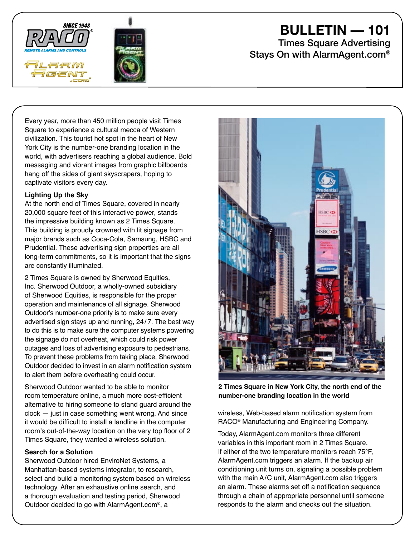



## **BULLETIN — 101**

Times Square Advertising Stays On with AlarmAgent.com®

Every year, more than 450 million people visit Times Square to experience a cultural mecca of Western civilization. This tourist hot spot in the heart of New York City is the number-one branding location in the world, with advertisers reaching a global audience. Bold messaging and vibrant images from graphic billboards hang off the sides of giant skyscrapers, hoping to captivate visitors every day.

## **Lighting Up the Sky**

At the north end of Times Square, covered in nearly 20,000 square feet of this interactive power, stands the impressive building known as 2 Times Square. This building is proudly crowned with lit signage from major brands such as Coca-Cola, Samsung, HSBC and Prudential. These advertising sign properties are all long-term commitments, so it is important that the signs are constantly illuminated.

2 Times Square is owned by Sherwood Equities, Inc. Sherwood Outdoor, a wholly-owned subsidiary of Sherwood Equities, is responsible for the proper operation and maintenance of all signage. Sherwood Outdoor's number-one priority is to make sure every advertised sign stays up and running, 24/7. The best way to do this is to make sure the computer systems powering the signage do not overheat, which could risk power outages and loss of advertising exposure to pedestrians. To prevent these problems from taking place, Sherwood Outdoor decided to invest in an alarm notification system to alert them before overheating could occur.

Sherwood Outdoor wanted to be able to monitor room temperature online, a much more cost-efficient alternative to hiring someone to stand guard around the clock — just in case something went wrong. And since it would be difficult to install a landline in the computer room's out-of-the-way location on the very top floor of 2 Times Square, they wanted a wireless solution.

## **Search for a Solution**

Sherwood Outdoor hired EnviroNet Systems, a Manhattan-based systems integrator, to research, select and build a monitoring system based on wireless technology. After an exhaustive online search, and a thorough evaluation and testing period, Sherwood Outdoor decided to go with AlarmAgent.com®, a



**2 Times Square in New York City, the north end of the number-one branding location in the world**

wireless, Web-based alarm notification system from RACO® Manufacturing and Engineering Company.

Today, AlarmAgent.com monitors three different variables in this important room in 2 Times Square. If either of the two temperature monitors reach 75°F, AlarmAgent.com triggers an alarm. If the backup air conditioning unit turns on, signaling a possible problem with the main A/C unit, AlarmAgent.com also triggers an alarm. These alarms set off a notification sequence through a chain of appropriate personnel until someone responds to the alarm and checks out the situation.